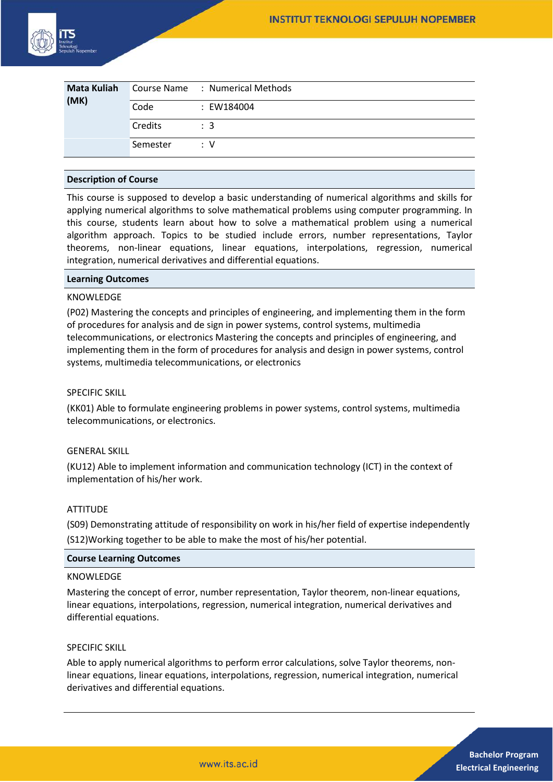

| <b>Mata Kuliah</b><br>(MK) |          | Course Name : Numerical Methods |
|----------------------------|----------|---------------------------------|
|                            | Code     | : EW184004                      |
|                            | Credits  | $\therefore$ 3                  |
|                            | Semester | : V                             |

### **Description of Course**

This course is supposed to develop a basic understanding of numerical algorithms and skills for applying numerical algorithms to solve mathematical problems using computer programming. In this course, students learn about how to solve a mathematical problem using a numerical algorithm approach. Topics to be studied include errors, number representations, Taylor theorems, non-linear equations, linear equations, interpolations, regression, numerical integration, numerical derivatives and differential equations.

### **Learning Outcomes**

# KNOWLEDGE

(P02) Mastering the concepts and principles of engineering, and implementing them in the form of procedures for analysis and de sign in power systems, control systems, multimedia telecommunications, or electronics Mastering the concepts and principles of engineering, and implementing them in the form of procedures for analysis and design in power systems, control systems, multimedia telecommunications, or electronics

### SPECIFIC SKILL

(KK01) Able to formulate engineering problems in power systems, control systems, multimedia telecommunications, or electronics.

# GENERAL SKILL

(KU12) Able to implement information and communication technology (ICT) in the context of implementation of his/her work.

### ATTITUDE

(S09) Demonstrating attitude of responsibility on work in his/her field of expertise independently (S12)Working together to be able to make the most of his/her potential.

### **Course Learning Outcomes**

# KNOWLEDGE

Mastering the concept of error, number representation, Taylor theorem, non-linear equations, linear equations, interpolations, regression, numerical integration, numerical derivatives and differential equations.

# SPECIFIC SKILL

Able to apply numerical algorithms to perform error calculations, solve Taylor theorems, nonlinear equations, linear equations, interpolations, regression, numerical integration, numerical derivatives and differential equations.